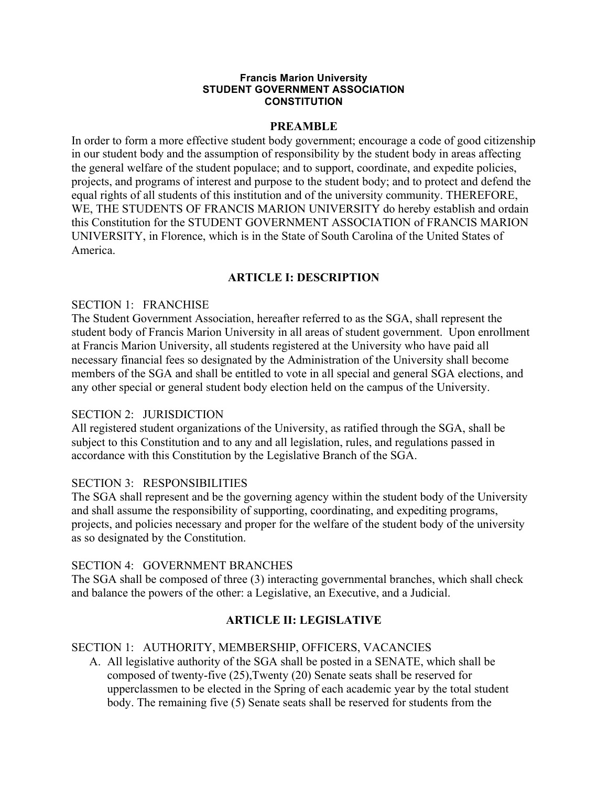#### **Francis Marion University STUDENT GOVERNMENT ASSOCIATION CONSTITUTION**

### **PREAMBLE**

In order to form a more effective student body government; encourage a code of good citizenship in our student body and the assumption of responsibility by the student body in areas affecting the general welfare of the student populace; and to support, coordinate, and expedite policies, projects, and programs of interest and purpose to the student body; and to protect and defend the equal rights of all students of this institution and of the university community. THEREFORE, WE, THE STUDENTS OF FRANCIS MARION UNIVERSITY do hereby establish and ordain this Constitution for the STUDENT GOVERNMENT ASSOCIATION of FRANCIS MARION UNIVERSITY, in Florence, which is in the State of South Carolina of the United States of America.

## **ARTICLE I: DESCRIPTION**

### SECTION 1: FRANCHISE

The Student Government Association, hereafter referred to as the SGA, shall represent the student body of Francis Marion University in all areas of student government. Upon enrollment at Francis Marion University, all students registered at the University who have paid all necessary financial fees so designated by the Administration of the University shall become members of the SGA and shall be entitled to vote in all special and general SGA elections, and any other special or general student body election held on the campus of the University.

### SECTION 2: JURISDICTION

All registered student organizations of the University, as ratified through the SGA, shall be subject to this Constitution and to any and all legislation, rules, and regulations passed in accordance with this Constitution by the Legislative Branch of the SGA.

### SECTION 3: RESPONSIBILITIES

The SGA shall represent and be the governing agency within the student body of the University and shall assume the responsibility of supporting, coordinating, and expediting programs, projects, and policies necessary and proper for the welfare of the student body of the university as so designated by the Constitution.

### SECTION 4: GOVERNMENT BRANCHES

The SGA shall be composed of three (3) interacting governmental branches, which shall check and balance the powers of the other: a Legislative, an Executive, and a Judicial.

### **ARTICLE II: LEGISLATIVE**

### SECTION 1: AUTHORITY, MEMBERSHIP, OFFICERS, VACANCIES

A. All legislative authority of the SGA shall be posted in a SENATE, which shall be composed of twenty-five (25),Twenty (20) Senate seats shall be reserved for upperclassmen to be elected in the Spring of each academic year by the total student body. The remaining five (5) Senate seats shall be reserved for students from the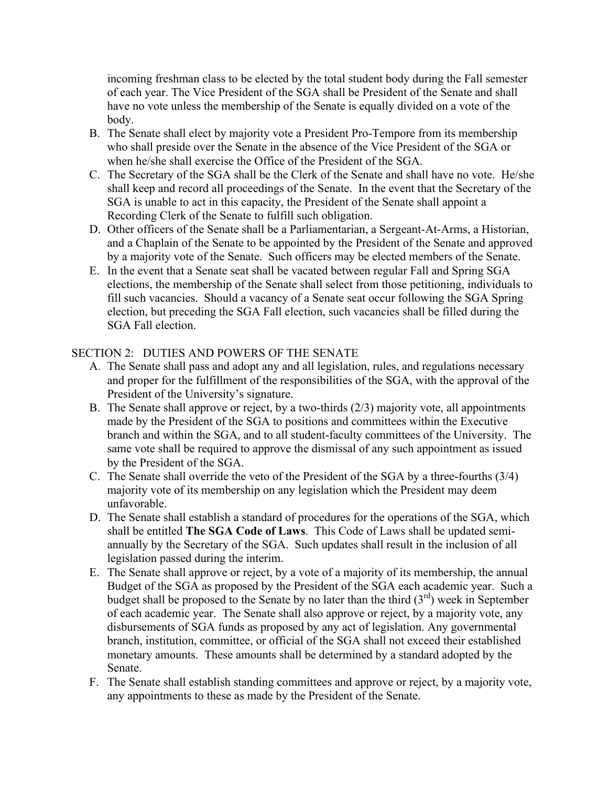incoming freshman class to be elected by the total student body during the Fall semester of each year. The Vice President of the SGA shall be President of the Senate and shall have no vote unless the membership of the Senate is equally divided on a vote of the body.

- B. The Senate shall elect by majority vote a President Pro-Tempore from its membership who shall preside over the Senate in the absence of the Vice President of the SGA or when he/she shall exercise the Office of the President of the SGA.
- C. The Secretary of the SGA shall be the Clerk of the Senate and shall have no vote. He/she shall keep and record all proceedings of the Senate. In the event that the Secretary of the SGA is unable to act in this capacity, the President of the Senate shall appoint a Recording Clerk of the Senate to fulfill such obligation.
- D. Other officers of the Senate shall be a Parliamentarian, a Sergeant-At-Arms, a Historian, and a Chaplain of the Senate to be appointed by the President of the Senate and approved by a majority vote of the Senate. Such officers may be elected members of the Senate.
- E. In the event that a Senate seat shall be vacated between regular Fall and Spring SGA elections, the membership of the Senate shall select from those petitioning, individuals to fill such vacancies. Should a vacancy of a Senate seat occur following the SGA Spring election, but preceding the SGA Fall election, such vacancies shall be filled during the SGA Fall election.

## SECTION 2: DUTIES AND POWERS OF THE SENATE

- A. The Senate shall pass and adopt any and all legislation, rules, and regulations necessary and proper for the fulfillment of the responsibilities of the SGA, with the approval of the President of the University's signature.
- B. The Senate shall approve or reject, by a two-thirds (2/3) majority vote, all appointments made by the President of the SGA to positions and committees within the Executive branch and within the SGA, and to all student-faculty committees of the University. The same vote shall be required to approve the dismissal of any such appointment as issued by the President of the SGA.
- C. The Senate shall override the veto of the President of the SGA by a three-fourths (3/4) majority vote of its membership on any legislation which the President may deem unfavorable.
- D. The Senate shall establish a standard of procedures for the operations of the SGA, which shall be entitled **The SGA Code of Laws**. This Code of Laws shall be updated semiannually by the Secretary of the SGA. Such updates shall result in the inclusion of all legislation passed during the interim.
- E. The Senate shall approve or reject, by a vote of a majority of its membership, the annual Budget of the SGA as proposed by the President of the SGA each academic year. Such a budget shall be proposed to the Senate by no later than the third  $(3<sup>rd</sup>)$  week in September of each academic year. The Senate shall also approve or reject, by a majority vote, any disbursements of SGA funds as proposed by any act of legislation. Any governmental branch, institution, committee, or official of the SGA shall not exceed their established monetary amounts. These amounts shall be determined by a standard adopted by the Senate.
- F. The Senate shall establish standing committees and approve or reject, by a majority vote, any appointments to these as made by the President of the Senate.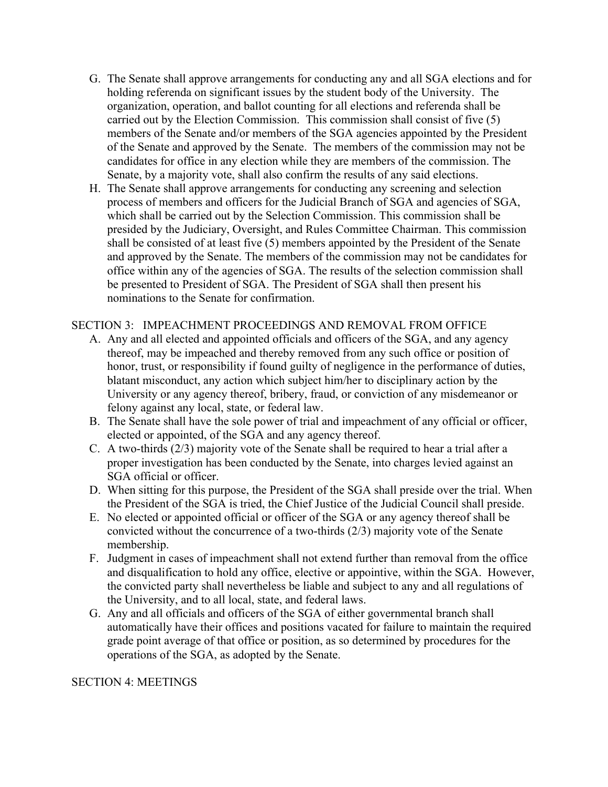- G. The Senate shall approve arrangements for conducting any and all SGA elections and for holding referenda on significant issues by the student body of the University. The organization, operation, and ballot counting for all elections and referenda shall be carried out by the Election Commission. This commission shall consist of five (5) members of the Senate and/or members of the SGA agencies appointed by the President of the Senate and approved by the Senate. The members of the commission may not be candidates for office in any election while they are members of the commission. The Senate, by a majority vote, shall also confirm the results of any said elections.
- H. The Senate shall approve arrangements for conducting any screening and selection process of members and officers for the Judicial Branch of SGA and agencies of SGA, which shall be carried out by the Selection Commission. This commission shall be presided by the Judiciary, Oversight, and Rules Committee Chairman. This commission shall be consisted of at least five (5) members appointed by the President of the Senate and approved by the Senate. The members of the commission may not be candidates for office within any of the agencies of SGA. The results of the selection commission shall be presented to President of SGA. The President of SGA shall then present his nominations to the Senate for confirmation.

## SECTION 3: IMPEACHMENT PROCEEDINGS AND REMOVAL FROM OFFICE

- A. Any and all elected and appointed officials and officers of the SGA, and any agency thereof, may be impeached and thereby removed from any such office or position of honor, trust, or responsibility if found guilty of negligence in the performance of duties, blatant misconduct, any action which subject him/her to disciplinary action by the University or any agency thereof, bribery, fraud, or conviction of any misdemeanor or felony against any local, state, or federal law.
- B. The Senate shall have the sole power of trial and impeachment of any official or officer, elected or appointed, of the SGA and any agency thereof.
- C. A two-thirds (2/3) majority vote of the Senate shall be required to hear a trial after a proper investigation has been conducted by the Senate, into charges levied against an SGA official or officer.
- D. When sitting for this purpose, the President of the SGA shall preside over the trial. When the President of the SGA is tried, the Chief Justice of the Judicial Council shall preside.
- E. No elected or appointed official or officer of the SGA or any agency thereof shall be convicted without the concurrence of a two-thirds (2/3) majority vote of the Senate membership.
- F. Judgment in cases of impeachment shall not extend further than removal from the office and disqualification to hold any office, elective or appointive, within the SGA. However, the convicted party shall nevertheless be liable and subject to any and all regulations of the University, and to all local, state, and federal laws.
- G. Any and all officials and officers of the SGA of either governmental branch shall automatically have their offices and positions vacated for failure to maintain the required grade point average of that office or position, as so determined by procedures for the operations of the SGA, as adopted by the Senate.

### SECTION 4: MEETINGS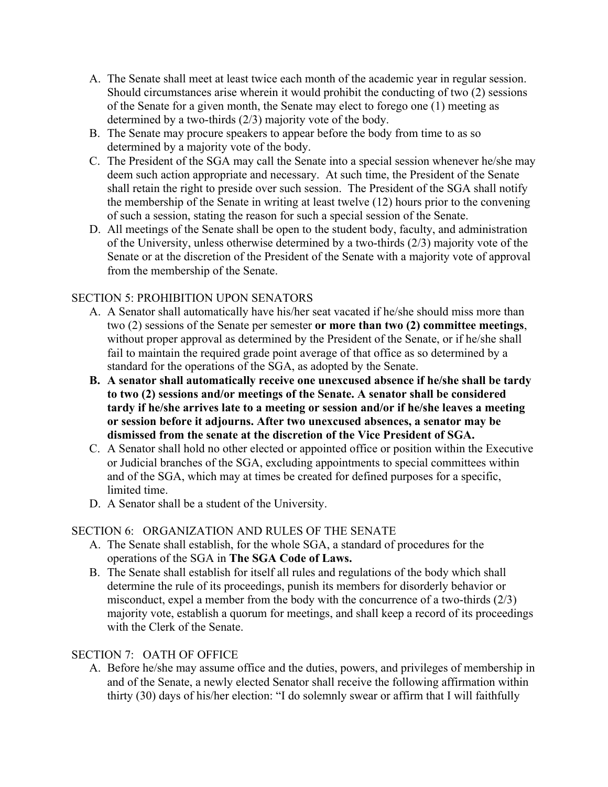- A. The Senate shall meet at least twice each month of the academic year in regular session. Should circumstances arise wherein it would prohibit the conducting of two (2) sessions of the Senate for a given month, the Senate may elect to forego one (1) meeting as determined by a two-thirds (2/3) majority vote of the body.
- B. The Senate may procure speakers to appear before the body from time to as so determined by a majority vote of the body.
- C. The President of the SGA may call the Senate into a special session whenever he/she may deem such action appropriate and necessary. At such time, the President of the Senate shall retain the right to preside over such session. The President of the SGA shall notify the membership of the Senate in writing at least twelve (12) hours prior to the convening of such a session, stating the reason for such a special session of the Senate.
- D. All meetings of the Senate shall be open to the student body, faculty, and administration of the University, unless otherwise determined by a two-thirds (2/3) majority vote of the Senate or at the discretion of the President of the Senate with a majority vote of approval from the membership of the Senate.

## SECTION 5: PROHIBITION UPON SENATORS

- A. A Senator shall automatically have his/her seat vacated if he/she should miss more than two (2) sessions of the Senate per semester **or more than two (2) committee meetings**, without proper approval as determined by the President of the Senate, or if he/she shall fail to maintain the required grade point average of that office as so determined by a standard for the operations of the SGA, as adopted by the Senate.
- **B. A senator shall automatically receive one unexcused absence if he/she shall be tardy to two (2) sessions and/or meetings of the Senate. A senator shall be considered tardy if he/she arrives late to a meeting or session and/or if he/she leaves a meeting or session before it adjourns. After two unexcused absences, a senator may be dismissed from the senate at the discretion of the Vice President of SGA.**
- C. A Senator shall hold no other elected or appointed office or position within the Executive or Judicial branches of the SGA, excluding appointments to special committees within and of the SGA, which may at times be created for defined purposes for a specific, limited time.
- D. A Senator shall be a student of the University.

## SECTION 6: ORGANIZATION AND RULES OF THE SENATE

- A. The Senate shall establish, for the whole SGA, a standard of procedures for the operations of the SGA in **The SGA Code of Laws.**
- B. The Senate shall establish for itself all rules and regulations of the body which shall determine the rule of its proceedings, punish its members for disorderly behavior or misconduct, expel a member from the body with the concurrence of a two-thirds (2/3) majority vote, establish a quorum for meetings, and shall keep a record of its proceedings with the Clerk of the Senate.

## SECTION 7: OATH OF OFFICE

A. Before he/she may assume office and the duties, powers, and privileges of membership in and of the Senate, a newly elected Senator shall receive the following affirmation within thirty (30) days of his/her election: "I do solemnly swear or affirm that I will faithfully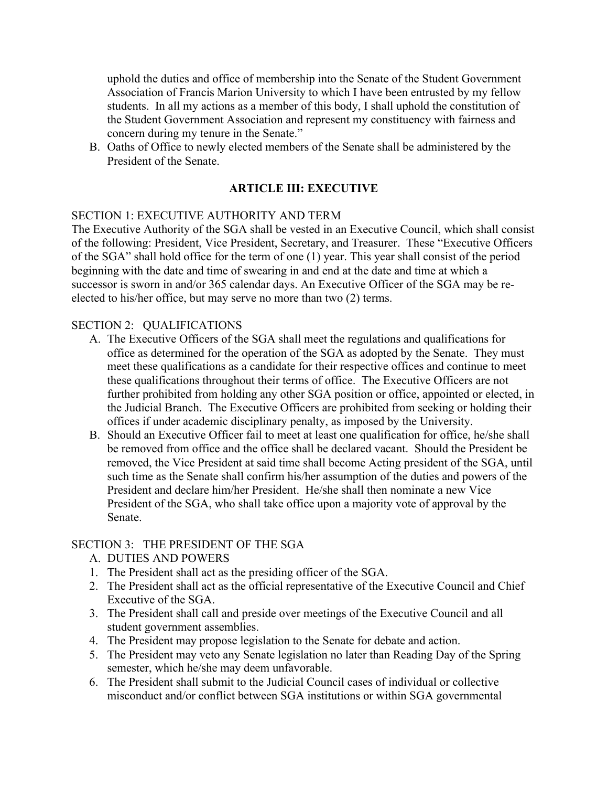uphold the duties and office of membership into the Senate of the Student Government Association of Francis Marion University to which I have been entrusted by my fellow students. In all my actions as a member of this body, I shall uphold the constitution of the Student Government Association and represent my constituency with fairness and concern during my tenure in the Senate."

B. Oaths of Office to newly elected members of the Senate shall be administered by the President of the Senate.

## **ARTICLE III: EXECUTIVE**

### SECTION 1: EXECUTIVE AUTHORITY AND TERM

The Executive Authority of the SGA shall be vested in an Executive Council, which shall consist of the following: President, Vice President, Secretary, and Treasurer. These "Executive Officers of the SGA" shall hold office for the term of one (1) year. This year shall consist of the period beginning with the date and time of swearing in and end at the date and time at which a successor is sworn in and/or 365 calendar days. An Executive Officer of the SGA may be reelected to his/her office, but may serve no more than two (2) terms.

### SECTION 2: QUALIFICATIONS

- A. The Executive Officers of the SGA shall meet the regulations and qualifications for office as determined for the operation of the SGA as adopted by the Senate. They must meet these qualifications as a candidate for their respective offices and continue to meet these qualifications throughout their terms of office. The Executive Officers are not further prohibited from holding any other SGA position or office, appointed or elected, in the Judicial Branch. The Executive Officers are prohibited from seeking or holding their offices if under academic disciplinary penalty, as imposed by the University.
- B. Should an Executive Officer fail to meet at least one qualification for office, he/she shall be removed from office and the office shall be declared vacant. Should the President be removed, the Vice President at said time shall become Acting president of the SGA, until such time as the Senate shall confirm his/her assumption of the duties and powers of the President and declare him/her President. He/she shall then nominate a new Vice President of the SGA, who shall take office upon a majority vote of approval by the Senate.

### SECTION 3: THE PRESIDENT OF THE SGA

- A. DUTIES AND POWERS
- 1. The President shall act as the presiding officer of the SGA.
- 2. The President shall act as the official representative of the Executive Council and Chief Executive of the SGA.
- 3. The President shall call and preside over meetings of the Executive Council and all student government assemblies.
- 4. The President may propose legislation to the Senate for debate and action.
- 5. The President may veto any Senate legislation no later than Reading Day of the Spring semester, which he/she may deem unfavorable.
- 6. The President shall submit to the Judicial Council cases of individual or collective misconduct and/or conflict between SGA institutions or within SGA governmental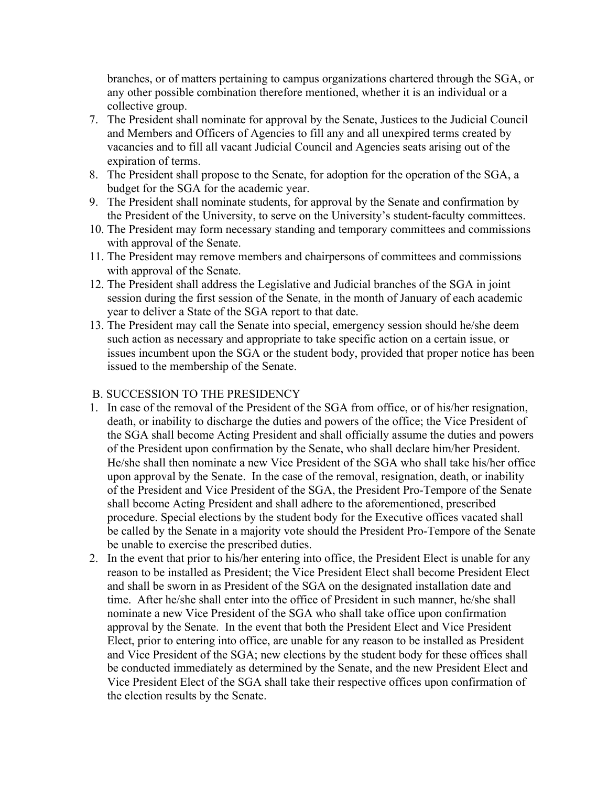branches, or of matters pertaining to campus organizations chartered through the SGA, or any other possible combination therefore mentioned, whether it is an individual or a collective group.

- 7. The President shall nominate for approval by the Senate, Justices to the Judicial Council and Members and Officers of Agencies to fill any and all unexpired terms created by vacancies and to fill all vacant Judicial Council and Agencies seats arising out of the expiration of terms.
- 8. The President shall propose to the Senate, for adoption for the operation of the SGA, a budget for the SGA for the academic year.
- 9. The President shall nominate students, for approval by the Senate and confirmation by the President of the University, to serve on the University's student-faculty committees.
- 10. The President may form necessary standing and temporary committees and commissions with approval of the Senate.
- 11. The President may remove members and chairpersons of committees and commissions with approval of the Senate.
- 12. The President shall address the Legislative and Judicial branches of the SGA in joint session during the first session of the Senate, in the month of January of each academic year to deliver a State of the SGA report to that date.
- 13. The President may call the Senate into special, emergency session should he/she deem such action as necessary and appropriate to take specific action on a certain issue, or issues incumbent upon the SGA or the student body, provided that proper notice has been issued to the membership of the Senate.

### B. SUCCESSION TO THE PRESIDENCY

- 1. In case of the removal of the President of the SGA from office, or of his/her resignation, death, or inability to discharge the duties and powers of the office; the Vice President of the SGA shall become Acting President and shall officially assume the duties and powers of the President upon confirmation by the Senate, who shall declare him/her President. He/she shall then nominate a new Vice President of the SGA who shall take his/her office upon approval by the Senate. In the case of the removal, resignation, death, or inability of the President and Vice President of the SGA, the President Pro-Tempore of the Senate shall become Acting President and shall adhere to the aforementioned, prescribed procedure. Special elections by the student body for the Executive offices vacated shall be called by the Senate in a majority vote should the President Pro-Tempore of the Senate be unable to exercise the prescribed duties.
- 2. In the event that prior to his/her entering into office, the President Elect is unable for any reason to be installed as President; the Vice President Elect shall become President Elect and shall be sworn in as President of the SGA on the designated installation date and time. After he/she shall enter into the office of President in such manner, he/she shall nominate a new Vice President of the SGA who shall take office upon confirmation approval by the Senate. In the event that both the President Elect and Vice President Elect, prior to entering into office, are unable for any reason to be installed as President and Vice President of the SGA; new elections by the student body for these offices shall be conducted immediately as determined by the Senate, and the new President Elect and Vice President Elect of the SGA shall take their respective offices upon confirmation of the election results by the Senate.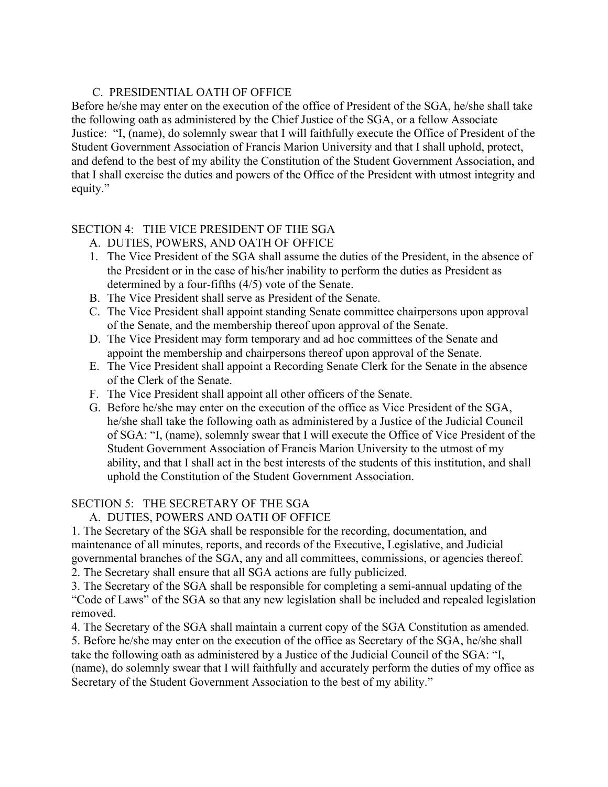## C. PRESIDENTIAL OATH OF OFFICE

Before he/she may enter on the execution of the office of President of the SGA, he/she shall take the following oath as administered by the Chief Justice of the SGA, or a fellow Associate Justice: "I, (name), do solemnly swear that I will faithfully execute the Office of President of the Student Government Association of Francis Marion University and that I shall uphold, protect, and defend to the best of my ability the Constitution of the Student Government Association, and that I shall exercise the duties and powers of the Office of the President with utmost integrity and equity."

## SECTION 4: THE VICE PRESIDENT OF THE SGA

- A. DUTIES, POWERS, AND OATH OF OFFICE
- 1. The Vice President of the SGA shall assume the duties of the President, in the absence of the President or in the case of his/her inability to perform the duties as President as determined by a four-fifths (4/5) vote of the Senate.
- B. The Vice President shall serve as President of the Senate.
- C. The Vice President shall appoint standing Senate committee chairpersons upon approval of the Senate, and the membership thereof upon approval of the Senate.
- D. The Vice President may form temporary and ad hoc committees of the Senate and appoint the membership and chairpersons thereof upon approval of the Senate.
- E. The Vice President shall appoint a Recording Senate Clerk for the Senate in the absence of the Clerk of the Senate.
- F. The Vice President shall appoint all other officers of the Senate.
- G. Before he/she may enter on the execution of the office as Vice President of the SGA, he/she shall take the following oath as administered by a Justice of the Judicial Council of SGA: "I, (name), solemnly swear that I will execute the Office of Vice President of the Student Government Association of Francis Marion University to the utmost of my ability, and that I shall act in the best interests of the students of this institution, and shall uphold the Constitution of the Student Government Association.

## SECTION 5: THE SECRETARY OF THE SGA

## A. DUTIES, POWERS AND OATH OF OFFICE

1. The Secretary of the SGA shall be responsible for the recording, documentation, and maintenance of all minutes, reports, and records of the Executive, Legislative, and Judicial governmental branches of the SGA, any and all committees, commissions, or agencies thereof. 2. The Secretary shall ensure that all SGA actions are fully publicized.

3. The Secretary of the SGA shall be responsible for completing a semi-annual updating of the "Code of Laws" of the SGA so that any new legislation shall be included and repealed legislation removed.

4. The Secretary of the SGA shall maintain a current copy of the SGA Constitution as amended. 5. Before he/she may enter on the execution of the office as Secretary of the SGA, he/she shall take the following oath as administered by a Justice of the Judicial Council of the SGA: "I, (name), do solemnly swear that I will faithfully and accurately perform the duties of my office as Secretary of the Student Government Association to the best of my ability."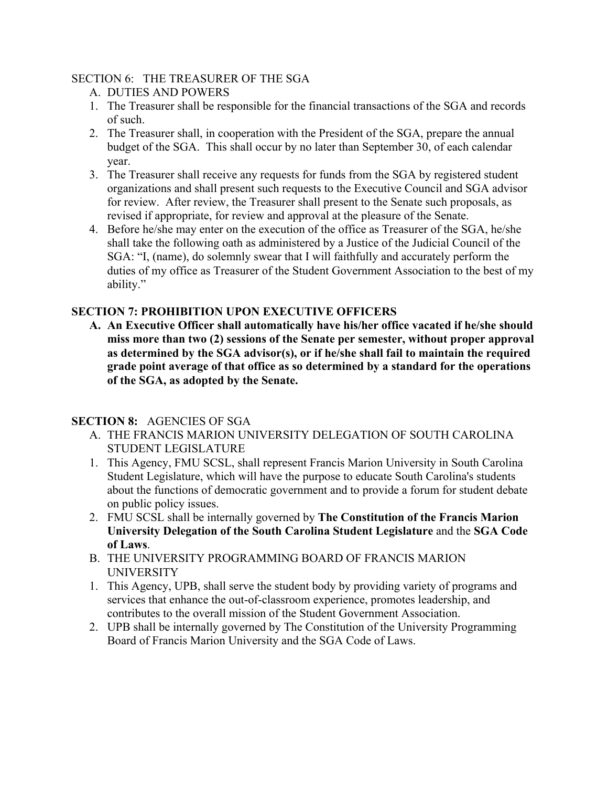## SECTION 6: THE TREASURER OF THE SGA

- A. DUTIES AND POWERS
- 1. The Treasurer shall be responsible for the financial transactions of the SGA and records of such.
- 2. The Treasurer shall, in cooperation with the President of the SGA, prepare the annual budget of the SGA. This shall occur by no later than September 30, of each calendar year.
- 3. The Treasurer shall receive any requests for funds from the SGA by registered student organizations and shall present such requests to the Executive Council and SGA advisor for review. After review, the Treasurer shall present to the Senate such proposals, as revised if appropriate, for review and approval at the pleasure of the Senate.
- 4. Before he/she may enter on the execution of the office as Treasurer of the SGA, he/she shall take the following oath as administered by a Justice of the Judicial Council of the SGA: "I, (name), do solemnly swear that I will faithfully and accurately perform the duties of my office as Treasurer of the Student Government Association to the best of my ability."

# **SECTION 7: PROHIBITION UPON EXECUTIVE OFFICERS**

**A. An Executive Officer shall automatically have his/her office vacated if he/she should miss more than two (2) sessions of the Senate per semester, without proper approval as determined by the SGA advisor(s), or if he/she shall fail to maintain the required grade point average of that office as so determined by a standard for the operations of the SGA, as adopted by the Senate.**

# **SECTION 8:** AGENCIES OF SGA

- A. THE FRANCIS MARION UNIVERSITY DELEGATION OF SOUTH CAROLINA STUDENT LEGISLATURE
- 1. This Agency, FMU SCSL, shall represent Francis Marion University in South Carolina Student Legislature, which will have the purpose to educate South Carolina's students about the functions of democratic government and to provide a forum for student debate on public policy issues.
- 2. FMU SCSL shall be internally governed by **The Constitution of the Francis Marion University Delegation of the South Carolina Student Legislature** and the **SGA Code of Laws**.
- B. THE UNIVERSITY PROGRAMMING BOARD OF FRANCIS MARION UNIVERSITY
- 1. This Agency, UPB, shall serve the student body by providing variety of programs and services that enhance the out-of-classroom experience, promotes leadership, and contributes to the overall mission of the Student Government Association.
- 2. UPB shall be internally governed by The Constitution of the University Programming Board of Francis Marion University and the SGA Code of Laws.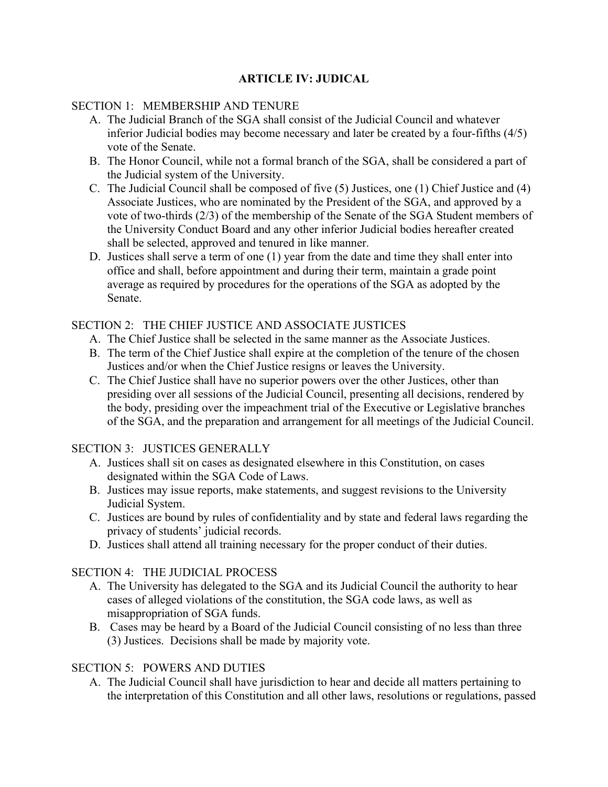## **ARTICLE IV: JUDICAL**

### SECTION 1: MEMBERSHIP AND TENURE

- A. The Judicial Branch of the SGA shall consist of the Judicial Council and whatever inferior Judicial bodies may become necessary and later be created by a four-fifths (4/5) vote of the Senate.
- B. The Honor Council, while not a formal branch of the SGA, shall be considered a part of the Judicial system of the University.
- C. The Judicial Council shall be composed of five (5) Justices, one (1) Chief Justice and (4) Associate Justices, who are nominated by the President of the SGA, and approved by a vote of two-thirds (2/3) of the membership of the Senate of the SGA Student members of the University Conduct Board and any other inferior Judicial bodies hereafter created shall be selected, approved and tenured in like manner.
- D. Justices shall serve a term of one (1) year from the date and time they shall enter into office and shall, before appointment and during their term, maintain a grade point average as required by procedures for the operations of the SGA as adopted by the Senate.

### SECTION 2: THE CHIEF JUSTICE AND ASSOCIATE JUSTICES

- A. The Chief Justice shall be selected in the same manner as the Associate Justices.
- B. The term of the Chief Justice shall expire at the completion of the tenure of the chosen Justices and/or when the Chief Justice resigns or leaves the University.
- C. The Chief Justice shall have no superior powers over the other Justices, other than presiding over all sessions of the Judicial Council, presenting all decisions, rendered by the body, presiding over the impeachment trial of the Executive or Legislative branches of the SGA, and the preparation and arrangement for all meetings of the Judicial Council.

### SECTION 3: JUSTICES GENERALLY

- A. Justices shall sit on cases as designated elsewhere in this Constitution, on cases designated within the SGA Code of Laws.
- B. Justices may issue reports, make statements, and suggest revisions to the University Judicial System.
- C. Justices are bound by rules of confidentiality and by state and federal laws regarding the privacy of students' judicial records.
- D. Justices shall attend all training necessary for the proper conduct of their duties.

## SECTION 4: THE JUDICIAL PROCESS

- A. The University has delegated to the SGA and its Judicial Council the authority to hear cases of alleged violations of the constitution, the SGA code laws, as well as misappropriation of SGA funds.
- B. Cases may be heard by a Board of the Judicial Council consisting of no less than three (3) Justices. Decisions shall be made by majority vote.

## SECTION 5: POWERS AND DUTIES

A. The Judicial Council shall have jurisdiction to hear and decide all matters pertaining to the interpretation of this Constitution and all other laws, resolutions or regulations, passed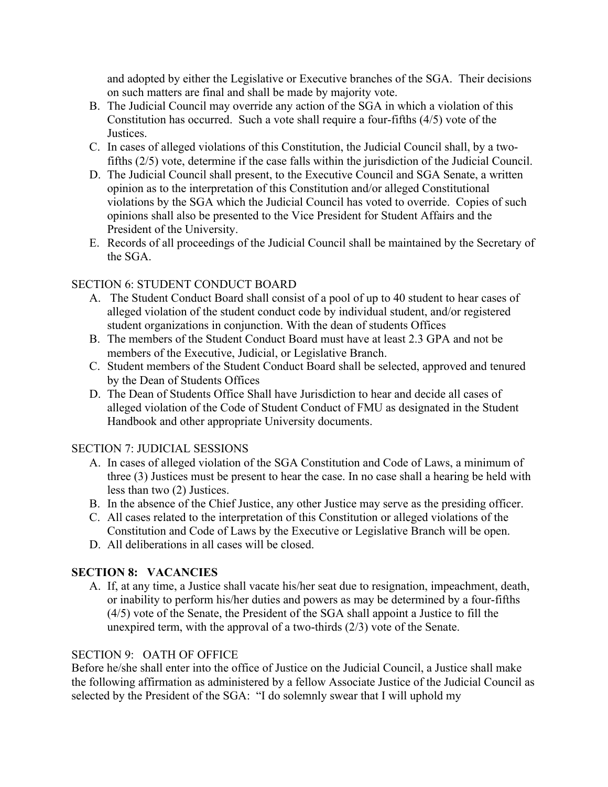and adopted by either the Legislative or Executive branches of the SGA. Their decisions on such matters are final and shall be made by majority vote.

- B. The Judicial Council may override any action of the SGA in which a violation of this Constitution has occurred. Such a vote shall require a four-fifths (4/5) vote of the **Justices**
- C. In cases of alleged violations of this Constitution, the Judicial Council shall, by a twofifths (2/5) vote, determine if the case falls within the jurisdiction of the Judicial Council.
- D. The Judicial Council shall present, to the Executive Council and SGA Senate, a written opinion as to the interpretation of this Constitution and/or alleged Constitutional violations by the SGA which the Judicial Council has voted to override. Copies of such opinions shall also be presented to the Vice President for Student Affairs and the President of the University.
- E. Records of all proceedings of the Judicial Council shall be maintained by the Secretary of the SGA.

## SECTION 6: STUDENT CONDUCT BOARD

- A. The Student Conduct Board shall consist of a pool of up to 40 student to hear cases of alleged violation of the student conduct code by individual student, and/or registered student organizations in conjunction. With the dean of students Offices
- B. The members of the Student Conduct Board must have at least 2.3 GPA and not be members of the Executive, Judicial, or Legislative Branch.
- C. Student members of the Student Conduct Board shall be selected, approved and tenured by the Dean of Students Offices
- D. The Dean of Students Office Shall have Jurisdiction to hear and decide all cases of alleged violation of the Code of Student Conduct of FMU as designated in the Student Handbook and other appropriate University documents.

## SECTION 7: JUDICIAL SESSIONS

- A. In cases of alleged violation of the SGA Constitution and Code of Laws, a minimum of three (3) Justices must be present to hear the case. In no case shall a hearing be held with less than two (2) Justices.
- B. In the absence of the Chief Justice, any other Justice may serve as the presiding officer.
- C. All cases related to the interpretation of this Constitution or alleged violations of the Constitution and Code of Laws by the Executive or Legislative Branch will be open.
- D. All deliberations in all cases will be closed.

## **SECTION 8: VACANCIES**

A. If, at any time, a Justice shall vacate his/her seat due to resignation, impeachment, death, or inability to perform his/her duties and powers as may be determined by a four-fifths (4/5) vote of the Senate, the President of the SGA shall appoint a Justice to fill the unexpired term, with the approval of a two-thirds (2/3) vote of the Senate.

## SECTION 9: OATH OF OFFICE

Before he/she shall enter into the office of Justice on the Judicial Council, a Justice shall make the following affirmation as administered by a fellow Associate Justice of the Judicial Council as selected by the President of the SGA: "I do solemnly swear that I will uphold my